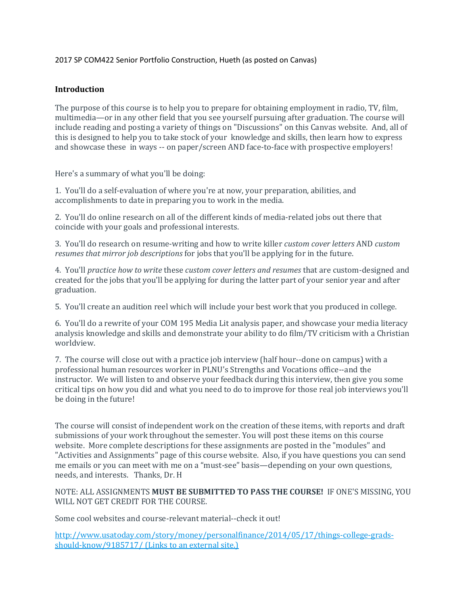### 2017 SP COM422 Senior Portfolio Construction, Hueth (as posted on Canvas)

## **Introduction**

The purpose of this course is to help you to prepare for obtaining employment in radio, TV, film, multimedia—or in any other field that you see yourself pursuing after graduation. The course will include reading and posting a variety of things on "Discussions" on this Canvas website. And, all of this is designed to help you to take stock of your knowledge and skills, then learn how to express and showcase these in ways -- on paper/screen AND face-to-face with prospective employers!

Here's a summary of what you'll be doing:

1. You'll do a self-evaluation of where you're at now, your preparation, abilities, and accomplishments to date in preparing you to work in the media.

2. You'll do online research on all of the different kinds of media-related jobs out there that coincide with your goals and professional interests.

3. You'll do research on resume-writing and how to write killer *custom cover letters* AND *custom resumes that mirror job descriptions* for jobs that you'll be applying for in the future.

4. You'll *practice how to write* these *custom cover letters and resumes* that are custom-designed and created for the jobs that you'll be applying for during the latter part of your senior year and after graduation.

5. You'll create an audition reel which will include your best work that you produced in college.

6. You'll do a rewrite of your COM 195 Media Lit analysis paper, and showcase your media literacy analysis knowledge and skills and demonstrate your ability to do film/TV criticism with a Christian worldview.

7. The course will close out with a practice job interview (half hour--done on campus) with a professional human resources worker in PLNU's Strengths and Vocations office--and the instructor. We will listen to and observe your feedback during this interview, then give you some critical tips on how you did and what you need to do to improve for those real job interviews you'll be doing in the future!

The course will consist of independent work on the creation of these items, with reports and draft submissions of your work throughout the semester. You will post these items on this course website. More complete descriptions for these assignments are posted in the "modules" and "Activities and Assignments" page of this course website. Also, if you have questions you can send me emails or you can meet with me on a "must-see" basis—depending on your own questions, needs, and interests. Thanks, Dr. H

NOTE: ALL ASSIGNMENTS **MUST BE SUBMITTED TO PASS THE COURSE!** IF ONE'S MISSING, YOU WILL NOT GET CREDIT FOR THE COURSE.

Some cool websites and course-relevant material--check it out!

[http://www.usatoday.com/story/money/personalfinance/2014/05/17/things-college-grads](http://www.usatoday.com/story/money/personalfinance/2014/05/17/things-college-grads-should-know/9185717/)[should-know/9185717/](http://www.usatoday.com/story/money/personalfinance/2014/05/17/things-college-grads-should-know/9185717/) (Links to an external site.)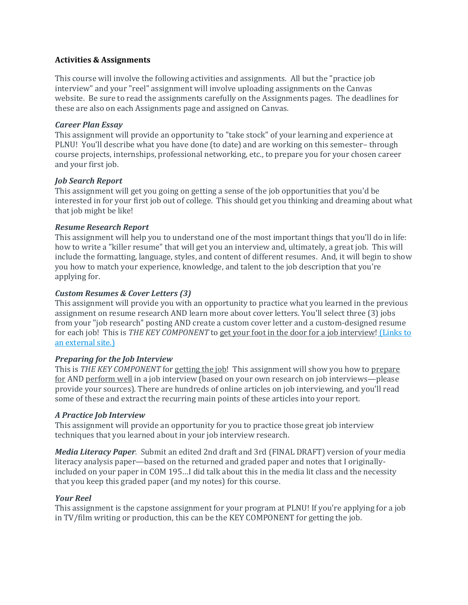### **Activities & Assignments**

This course will involve the following activities and assignments. All but the "practice job interview" and your "reel" assignment will involve uploading assignments on the Canvas website. Be sure to read the assignments carefully on the Assignments pages. The deadlines for these are also on each Assignments page and assigned on Canvas.

### *Career Plan Essay*

This assignment will provide an opportunity to "take stock" of your learning and experience at PLNU! You'll describe what you have done (to date) and are working on this semester– through course projects, internships, professional networking, etc., to prepare you for your chosen career and your first job.

### *Job Search Report*

This assignment will get you going on getting a sense of the job opportunities that you'd be interested in for your first job out of college. This should get you thinking and dreaming about what that job might be like!

### *Resume Research Report*

This assignment will help you to understand one of the most important things that you'll do in life: how to write a "killer resume" that will get you an interview and, ultimately, a great job. This will include the formatting, language, styles, and content of different resumes. And, it will begin to show you how to match your experience, knowledge, and talent to the job description that you're applying for.

### *Custom Resumes & Cover Letters (3)*

This assignment will provide you with an opportunity to practice what you learned in the previous assignment on resume research AND learn more about cover letters. You'll select three (3) jobs from your "job research" posting AND create a custom cover letter and a custom-designed resume for each job! This is *THE KEY COMPONENT* to get your foot in the door for a job interview! [\(Links](http://college.usatoday.com/2015/03/11/how-to-get-your-resume-and-you-noticed-in-the-digital-age/) to an [external](http://college.usatoday.com/2015/03/11/how-to-get-your-resume-and-you-noticed-in-the-digital-age/) site.)

# *Preparing for the Job Interview*

This is *THE KEY COMPONENT* for getting the job! This assignment will show you how to prepare for AND perform well in a job interview (based on your own research on job interviews—please provide your sources). There are hundreds of online articles on job interviewing, and you'll read some of these and extract the recurring main points of these articles into your report.

#### *A Practice Job Interview*

This assignment will provide an opportunity for you to practice those great job interview techniques that you learned about in your job interview research.

*Media Literacy Paper.* Submit an edited 2nd draft and 3rd (FINAL DRAFT) version of your media literacy analysis paper—based on the returned and graded paper and notes that I originallyincluded on your paper in COM 195…I did talk about this in the media lit class and the necessity that you keep this graded paper (and my notes) for this course.

# *Your Reel*

This assignment is the capstone assignment for your program at PLNU! If you're applying for a job in TV/film writing or production, this can be the KEY COMPONENT for getting the job.